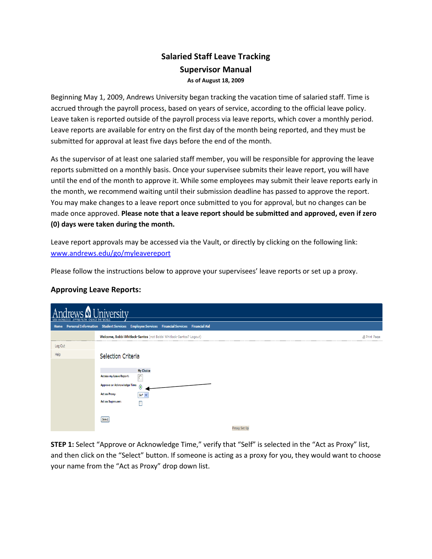## Salaried Staff Leave Tracking Supervisor Manual As of August 18, 2009

Beginning May 1, 2009, Andrews University began tracking the vacation time of salaried staff. Time is accrued through the payroll process, based on years of service, according to the official leave policy. Leave taken is reported outside of the payroll process via leave reports, which cover a monthly period. Leave reports are available for entry on the first day of the month being reported, and they must be submitted for approval at least five days before the end of the month.

As the supervisor of at least one salaried staff member, you will be responsible for approving the leave reports submitted on a monthly basis. Once your supervisee submits their leave report, you will have until the end of the month to approve it. While some employees may submit their leave reports early in the month, we recommend waiting until their submission deadline has passed to approve the report. You may make changes to a leave report once submitted to you for approval, but no changes can be made once approved. Please note that a leave report should be submitted and approved, even if zero (0) days were taken during the month.

Leave report approvals may be accessed via the Vault, or directly by clicking on the following link: www.andrews.edu/go/myleavereport

Please follow the instructions below to approve your supervisees' leave reports or set up a proxy.

## Approving Leave Reports:

| Iniversity<br>AFFIRM FAITH.<br>CHANGE THE WORLD |                                                                                                                                                                    |                     |  |  |  |  |  |  |  |  |  |
|-------------------------------------------------|--------------------------------------------------------------------------------------------------------------------------------------------------------------------|---------------------|--|--|--|--|--|--|--|--|--|
|                                                 | Home Personal Information Student Services Employee Services Financial Services Financial Aid                                                                      |                     |  |  |  |  |  |  |  |  |  |
|                                                 | Welcome, Bobbi Whitlock-Santos (not Bobbi Whitlock-Santos? Logout)                                                                                                 | <b>A Print Page</b> |  |  |  |  |  |  |  |  |  |
| Log Out                                         |                                                                                                                                                                    |                     |  |  |  |  |  |  |  |  |  |
| Help                                            | Selection Criteria                                                                                                                                                 |                     |  |  |  |  |  |  |  |  |  |
|                                                 | <b>My Choice</b><br>Access my Leave Report:<br>C<br>Approve or Acknowledge Time:<br>$\odot$<br>Act as Proxy:<br>Self V<br>Act as Superuser:<br>Select <sup>1</sup> |                     |  |  |  |  |  |  |  |  |  |
|                                                 | Proxy Set L                                                                                                                                                        |                     |  |  |  |  |  |  |  |  |  |

STEP 1: Select "Approve or Acknowledge Time," verify that "Self" is selected in the "Act as Proxy" list, and then click on the "Select" button. If someone is acting as a proxy for you, they would want to choose your name from the "Act as Proxy" drop down list.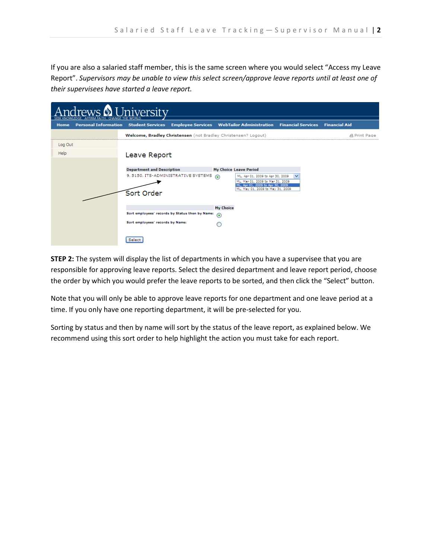If you are also a salaried staff member, this is the same screen where you would select "Access my Leave Report". Supervisors may be unable to view this select screen/approve leave reports until at least one of their supervisees have started a leave report.

| <b>Iniversity</b><br>$1$ ratic N<br>CHANGE THE WORLD |                                              |                                   |                                                                      |                  |                                                                                                          |   |                      |  |  |  |  |  |
|------------------------------------------------------|----------------------------------------------|-----------------------------------|----------------------------------------------------------------------|------------------|----------------------------------------------------------------------------------------------------------|---|----------------------|--|--|--|--|--|
| Home                                                 | <b>Personal Information Student Services</b> |                                   | <b>Employee Services WebTailor Administration Financial Services</b> |                  |                                                                                                          |   | <b>Financial Aid</b> |  |  |  |  |  |
|                                                      |                                              |                                   | Welcome, Bradley Christensen (not Bradley Christensen? Logout)       |                  |                                                                                                          |   | <b>A Print Page</b>  |  |  |  |  |  |
| Log Out                                              |                                              |                                   |                                                                      |                  |                                                                                                          |   |                      |  |  |  |  |  |
| Help                                                 |                                              | Leave Report                      |                                                                      |                  |                                                                                                          |   |                      |  |  |  |  |  |
|                                                      |                                              |                                   |                                                                      |                  |                                                                                                          |   |                      |  |  |  |  |  |
|                                                      |                                              | <b>Department and Description</b> |                                                                      |                  | My Choice Leave Period                                                                                   |   |                      |  |  |  |  |  |
|                                                      |                                              |                                   | 9, 5150, ITS-ADMINISTRATIVE SYSTEMS                                  | $\odot$          | ML, Apr 01, 2009 to Apr 30, 2009<br>ML, Mar 01, 2009 to Mar 31, 2009<br>ML, Apr 01, 2009 to Apr 30, 2009 | v |                      |  |  |  |  |  |
|                                                      |                                              | Sort Order                        |                                                                      |                  | ML, May 01, 2009 to May 31, 2009                                                                         |   |                      |  |  |  |  |  |
|                                                      |                                              |                                   |                                                                      | <b>My Choice</b> |                                                                                                          |   |                      |  |  |  |  |  |
|                                                      |                                              |                                   | Sort employees' records by Status then by Name:                      | $\circledast$    |                                                                                                          |   |                      |  |  |  |  |  |
|                                                      |                                              | Sort employees' records by Name:  |                                                                      |                  |                                                                                                          |   |                      |  |  |  |  |  |
|                                                      |                                              | Select                            |                                                                      |                  |                                                                                                          |   |                      |  |  |  |  |  |

**STEP 2:** The system will display the list of departments in which you have a supervisee that you are responsible for approving leave reports. Select the desired department and leave report period, choose the order by which you would prefer the leave reports to be sorted, and then click the "Select" button.

Note that you will only be able to approve leave reports for one department and one leave period at a time. If you only have one reporting department, it will be pre-selected for you.

Sorting by status and then by name will sort by the status of the leave report, as explained below. We recommend using this sort order to help highlight the action you must take for each report.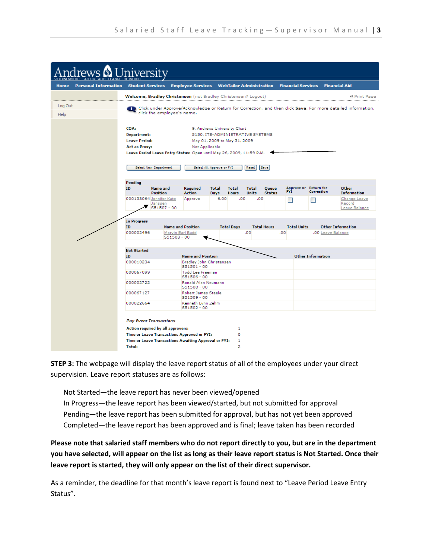

**STEP 3:** The webpage will display the leave report status of all of the employees under your direct supervision. Leave report statuses are as follows:

Not Started—the leave report has never been viewed/opened

In Progress—the leave report has been viewed/started, but not submitted for approval Pending—the leave report has been submitted for approval, but has not yet been approved Completed—the leave report has been approved and is final; leave taken has been recorded

Please note that salaried staff members who do not report directly to you, but are in the department you have selected, will appear on the list as long as their leave report status is Not Started. Once their leave report is started, they will only appear on the list of their direct supervisor.

As a reminder, the deadline for that month's leave report is found next to "Leave Period Leave Entry Status".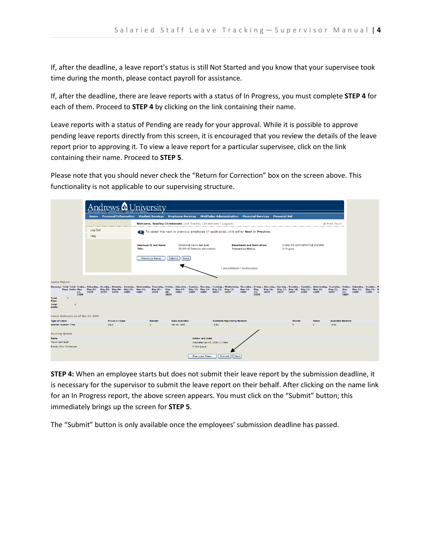If, after the deadline, a leave report's status is still Not Started and you know that your supervisee took time during the month, please contact payroll for assistance.

If, after the deadline, there are leave reports with a status of In Progress, you must complete STEP 4 for each of them. Proceed to **STEP 4** by clicking on the link containing their name.

Leave reports with a status of Pending are ready for your approval. While it is possible to approve pending leave reports directly from this screen, it is encouraged that you review the details of the leave report prior to approving it. To view a leave report for a particular supervisee, click on the link containing their name. Proceed to STEP 5.

Please note that you should never check the "Return for Correction" box on the screen above. This functionality is not applicable to our supervising structure.

|                                                |          |                                      | <b>SFFK KNOW</b>                                |           | AFFIRM FAITH. CHANG          |      | niversity                                                                                                                                                                                                                              |                                                                                                                                                                                                                                                                  |             |                                       |           |                                |                                 |                                                     |      |             |      |           |                   |      |                                                 |                                     |                    |      |                              |
|------------------------------------------------|----------|--------------------------------------|-------------------------------------------------|-----------|------------------------------|------|----------------------------------------------------------------------------------------------------------------------------------------------------------------------------------------------------------------------------------------|------------------------------------------------------------------------------------------------------------------------------------------------------------------------------------------------------------------------------------------------------------------|-------------|---------------------------------------|-----------|--------------------------------|---------------------------------|-----------------------------------------------------|------|-------------|------|-----------|-------------------|------|-------------------------------------------------|-------------------------------------|--------------------|------|------------------------------|
|                                                |          |                                      |                                                 |           |                              |      | Home Personal Information Student Services Employee Services WebTailor Administration Financial Services Financial Aid                                                                                                                 |                                                                                                                                                                                                                                                                  |             |                                       |           |                                |                                 |                                                     |      |             |      |           |                   |      |                                                 |                                     |                    |      |                              |
|                                                |          |                                      |                                                 |           |                              |      | Welcome, Bradley Christensen (not Bradley Christensen? Logout)                                                                                                                                                                         |                                                                                                                                                                                                                                                                  |             |                                       |           |                                |                                 |                                                     |      |             |      |           |                   |      |                                                 | <b>A Print Page</b>                 |                    |      |                              |
|                                                |          |                                      | Log Out<br>Help                                 |           |                              |      |                                                                                                                                                                                                                                        | To select the next or previous employee (if applicable), click either Next or Previous.                                                                                                                                                                          |             |                                       |           |                                |                                 |                                                     |      |             |      |           |                   |      |                                                 |                                     |                    |      |                              |
|                                                |          |                                      |                                                 |           |                              |      | Title:                                                                                                                                                                                                                                 | <b>Employee ID and Name:</b><br>000002496 Marvin Earl Budd<br><b>Department and Description:</b><br>9 5150 ITS-ADMINISTRATIVE SYSTEMS<br><b>Transaction Status:</b><br>S51503-00 Database Administrator<br>In Progress<br>Submit<br><b>Previous Menu</b><br>Next |             |                                       |           |                                |                                 |                                                     |      |             |      |           |                   |      |                                                 |                                     |                    |      |                              |
|                                                |          |                                      |                                                 |           |                              |      |                                                                                                                                                                                                                                        |                                                                                                                                                                                                                                                                  |             |                                       |           |                                |                                 | Leave Balances   Routing Queue                      |      |             |      |           |                   |      |                                                 |                                     |                    |      |                              |
| <b>Leave Report</b>                            |          |                                      |                                                 |           |                              |      |                                                                                                                                                                                                                                        |                                                                                                                                                                                                                                                                  |             |                                       |           |                                |                                 |                                                     |      |             |      |           |                   |      |                                                 |                                     |                    |      |                              |
|                                                |          | <b>Days Units May</b><br>01.<br>2009 | May 02, May 03, May 04, May 05, May 06,<br>2009 | 2009 2009 |                              | 2009 | Earnings Total Total Friday, Saturday, Sunday, Monday, Tuesday, Wednesday, Thursday, Friday, Saturday, Sunday, Monday, Tuesday, Wednesday, Thursday, Sunday, Thursday, Wednesday, Thursday, Nonday, Thursday, Sunday, Thursday<br>2009 | May 07, May<br>2009                                                                                                                                                                                                                                              | 08.<br>2009 | 2009                                  | 2009 2009 |                                | 2009 2009                       | May 09, May 10, May 11, May 12, May 13, May 14, May | 2009 | 15.<br>2009 | 2009 | 2009 2009 |                   | 2009 | May 16, May 17, May 18, May 19, May 20,<br>2009 | May 21,<br>2009                     | May<br>22,<br>2009 | 2009 | May 23, May 24, M<br>2009 20 |
| <b>Total</b><br>Days:<br>Total<br>Units:       | $\Omega$ | $\circ$                              |                                                 |           |                              |      |                                                                                                                                                                                                                                        |                                                                                                                                                                                                                                                                  |             |                                       |           |                                |                                 |                                                     |      |             |      |           |                   |      |                                                 |                                     |                    |      |                              |
|                                                |          |                                      | Leave Balances as of Apr 07, 2009               |           |                              |      |                                                                                                                                                                                                                                        |                                                                                                                                                                                                                                                                  |             |                                       |           |                                |                                 |                                                     |      |             |      |           |                   |      |                                                 |                                     |                    |      |                              |
| <b>Type of Leave</b><br>Salaried Vacation Time |          |                                      |                                                 |           | <b>Hours or Days</b><br>Days |      | $\circ$                                                                                                                                                                                                                                | <b>Banked</b>                                                                                                                                                                                                                                                    |             | <b>Date Available</b><br>Apr 16, 1990 |           |                                | $-3.83$                         | <b>Available Beginning Balance</b>                  |      |             |      |           | Earned<br>$\circ$ |      | <b>Taken</b><br>$\circ$                         | <b>Available Balance</b><br>$-3.83$ |                    |      |                              |
| <b>Routing Queue</b>                           |          |                                      |                                                 |           |                              |      |                                                                                                                                                                                                                                        |                                                                                                                                                                                                                                                                  |             |                                       |           |                                |                                 |                                                     |      |             |      |           |                   |      |                                                 |                                     |                    |      |                              |
| Name                                           |          |                                      |                                                 |           |                              |      |                                                                                                                                                                                                                                        |                                                                                                                                                                                                                                                                  |             |                                       |           | <b>Action and Date</b>         |                                 |                                                     |      |             |      |           |                   |      |                                                 |                                     |                    |      |                              |
| Marvin Earl Budd<br>Bradley John Christensen   |          |                                      |                                                 |           |                              |      |                                                                                                                                                                                                                                        |                                                                                                                                                                                                                                                                  |             |                                       |           | In the Queue.<br>Previous Menu | Originated Apr 03, 2009 11:15am | Submit<br>Next                                      |      |             |      |           |                   |      |                                                 |                                     |                    |      |                              |

STEP 4: When an employee starts but does not submit their leave report by the submission deadline, it is necessary for the supervisor to submit the leave report on their behalf. After clicking on the name link for an In Progress report, the above screen appears. You must click on the "Submit" button; this immediately brings up the screen for STEP 5.

The "Submit" button is only available once the employees' submission deadline has passed.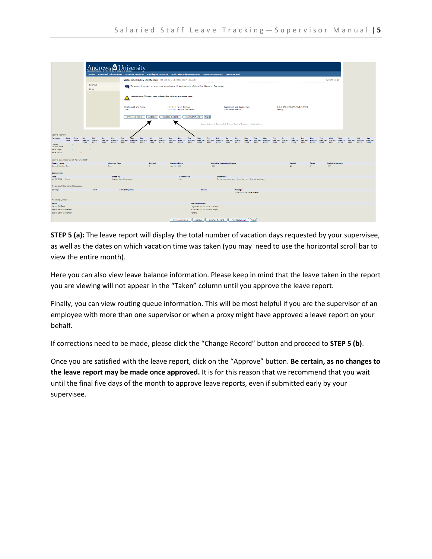|                                                                                                         |                                                                                       | Andrews <b>&amp;</b> University                                                                                                                                                                                                                                   |                                                                 |                  |                  |                         |                                                                 |                       |                                                                   |                       |               |                                    |                                                                       |      |            |     |                       |                                   |                       |                    |     |                                     |     |      |             |      |
|---------------------------------------------------------------------------------------------------------|---------------------------------------------------------------------------------------|-------------------------------------------------------------------------------------------------------------------------------------------------------------------------------------------------------------------------------------------------------------------|-----------------------------------------------------------------|------------------|------------------|-------------------------|-----------------------------------------------------------------|-----------------------|-------------------------------------------------------------------|-----------------------|---------------|------------------------------------|-----------------------------------------------------------------------|------|------------|-----|-----------------------|-----------------------------------|-----------------------|--------------------|-----|-------------------------------------|-----|------|-------------|------|
|                                                                                                         |                                                                                       | Home Personal Information Student Services Employee Services WebTailor Administration Financial Services Financial Aid                                                                                                                                            |                                                                 |                  |                  |                         |                                                                 |                       |                                                                   |                       |               |                                    |                                                                       |      |            |     |                       |                                   |                       |                    |     |                                     |     |      |             |      |
|                                                                                                         | Welcome, Bradley Christensen (not Bradley Christensen? Logout)<br><b>A Print Page</b> |                                                                                                                                                                                                                                                                   |                                                                 |                  |                  |                         |                                                                 |                       |                                                                   |                       |               |                                    |                                                                       |      |            |     |                       |                                   |                       |                    |     |                                     |     |      |             |      |
|                                                                                                         | Log Out<br><b>Help</b>                                                                | To select the next or previous employee (if applicable), click either Next or Previous.                                                                                                                                                                           |                                                                 |                  |                  |                         |                                                                 |                       |                                                                   |                       |               |                                    |                                                                       |      |            |     |                       |                                   |                       |                    |     |                                     |     |      |             |      |
|                                                                                                         |                                                                                       |                                                                                                                                                                                                                                                                   | Possible Insufficient Leave Balance for Salaried Vacation Time. |                  |                  |                         |                                                                 |                       |                                                                   |                       |               |                                    |                                                                       |      |            |     |                       |                                   |                       |                    |     |                                     |     |      |             |      |
|                                                                                                         |                                                                                       |                                                                                                                                                                                                                                                                   | <b>Employee ID and Name:</b><br>Title:                          |                  |                  |                         | 000002496 Marvin Earl Budd<br>\$51503-00 Database Administrator |                       |                                                                   |                       |               | <b>Transaction Status:</b>         | <b>Department and Description:</b>                                    |      |            |     | Pacifica              | 9 5150 ITS-ADMINISTRATIVE SYSTEMS |                       |                    |     |                                     |     |      |             |      |
|                                                                                                         |                                                                                       |                                                                                                                                                                                                                                                                   | Previous Menu                                                   |                  | Approve          | Change Record           |                                                                 | Add Comment           |                                                                   | Next                  |               |                                    |                                                                       |      |            |     |                       |                                   |                       |                    |     |                                     |     |      |             |      |
|                                                                                                         |                                                                                       |                                                                                                                                                                                                                                                                   |                                                                 |                  |                  |                         |                                                                 |                       |                                                                   |                       |               |                                    | Leave Balances   Comments   Error or Warning Messages   Routing Queue |      |            |     |                       |                                   |                       |                    |     |                                     |     |      |             |      |
| <b>Leave Report</b>                                                                                     |                                                                                       |                                                                                                                                                                                                                                                                   |                                                                 |                  |                  |                         |                                                                 |                       |                                                                   |                       |               |                                    |                                                                       |      |            |     |                       |                                   |                       |                    |     |                                     |     |      |             |      |
| Eernings<br>Total<br>Total<br>Fr<br>Units<br><b>Days</b><br>2009                                        | Sat<br>2009                                                                           | Sun<br>Mon<br>May 01, May 02, May 03, May 04, May 05, May 06, May 06, May 08, May 10, May 10, May 11, May 12, May 13, May 14, May 15, May 16, May 17, May 18, May 18, May 21, May 21, May 22, May 23, May 25, May 27, May 28, May 28, May 28<br>2002<br>2009 2009 | Tue<br>Wed                                                      | Thu<br>2009 2009 | Fri<br>2002      | Set<br>Sun<br>2009 2009 | <b>Mon</b>                                                      | Tue<br>2009 2009 2009 | Wed                                                               | Thu<br>2009 2009 2009 | Fri           | Sat                                | Sun<br>2009 2009 2009                                                 | Mon  | Tue<br>Wed | Thu | Fri<br>2009 2009 2009 | Set<br>2002                       | Sun<br>2009 2009 2009 | Mon                | Tue | Wed<br>2009 2009                    | Thu | 2000 | Set<br>2002 | 2000 |
| $\circ$<br>Selected<br>Vacation Time<br><b>Total Days:</b><br>$\circ$<br><b>Total Units:</b><br>$\circ$ | $\sim$<br>$\circ$                                                                     |                                                                                                                                                                                                                                                                   |                                                                 |                  |                  |                         |                                                                 |                       |                                                                   |                       |               |                                    |                                                                       |      |            |     |                       |                                   |                       |                    |     |                                     |     |      |             |      |
| Leave Balances as of Apr 24, 2009                                                                       |                                                                                       |                                                                                                                                                                                                                                                                   |                                                                 |                  |                  |                         |                                                                 |                       |                                                                   |                       |               |                                    |                                                                       |      |            |     |                       |                                   |                       |                    |     |                                     |     |      |             |      |
| <b>Type of Leave</b><br>Selerica Vacation Time                                                          |                                                                                       | <b>Hours or Days</b><br>Days:                                                                                                                                                                                                                                     |                                                                 |                  | Banked<br>$\sim$ |                         | Date Available<br>Apr 16, 1990                                  |                       |                                                                   | $+3.83$               |               | <b>Available Beginning Balance</b> |                                                                       |      |            |     |                       | <b>Carned</b><br>$.46 -$          |                       | Taken<br>$\bullet$ |     | <b>Available Balance</b><br>$+3.37$ |     |      |             |      |
| Comments                                                                                                |                                                                                       |                                                                                                                                                                                                                                                                   |                                                                 |                  |                  |                         |                                                                 |                       |                                                                   |                       |               |                                    |                                                                       |      |            |     |                       |                                   |                       |                    |     |                                     |     |      |             |      |
| Date<br>Apr 22, 2009 11:03pm                                                                            |                                                                                       | Made by                                                                                                                                                                                                                                                           | Bradley John Christenson                                        |                  |                  |                         | No.                                                             | Confidential          |                                                                   |                       | Comments      |                                    | Do the comments work? Or do they not? This will test them.            |      |            |     |                       |                                   |                       |                    |     |                                     |     |      |             |      |
| <b>Error and Warning Messages</b>                                                                       |                                                                                       |                                                                                                                                                                                                                                                                   |                                                                 |                  |                  |                         |                                                                 |                       |                                                                   |                       |               |                                    |                                                                       |      |            |     |                       |                                   |                       |                    |     |                                     |     |      |             |      |
| Earning                                                                                                 | Shift<br>11.                                                                          |                                                                                                                                                                                                                                                                   | <b>Time Entry Date</b>                                          |                  |                  |                         |                                                                 |                       | Hours                                                             |                       |               |                                    | Message<br>*WARNING* No hours entered.                                |      |            |     |                       |                                   |                       |                    |     |                                     |     |      |             |      |
| <b>Routing Oueue</b>                                                                                    |                                                                                       |                                                                                                                                                                                                                                                                   |                                                                 |                  |                  |                         |                                                                 |                       |                                                                   |                       |               |                                    |                                                                       |      |            |     |                       |                                   |                       |                    |     |                                     |     |      |             |      |
| <b>Name</b>                                                                                             |                                                                                       |                                                                                                                                                                                                                                                                   |                                                                 |                  |                  |                         |                                                                 |                       | <b>Action and Date</b>                                            |                       |               |                                    |                                                                       |      |            |     |                       |                                   |                       |                    |     |                                     |     |      |             |      |
| Narvin Earl Budd<br>Bradley John Christensen                                                            |                                                                                       |                                                                                                                                                                                                                                                                   |                                                                 |                  |                  |                         |                                                                 |                       | Originated Apr 03, 2009 11:15am<br>Submitted Apr 07, 2009 05:15pm |                       |               |                                    |                                                                       |      |            |     |                       |                                   |                       |                    |     |                                     |     |      |             |      |
| Bradley John Christenson                                                                                |                                                                                       |                                                                                                                                                                                                                                                                   |                                                                 |                  |                  |                         |                                                                 | Pending               |                                                                   |                       |               |                                    |                                                                       |      |            |     |                       |                                   |                       |                    |     |                                     |     |      |             |      |
|                                                                                                         |                                                                                       |                                                                                                                                                                                                                                                                   |                                                                 |                  |                  |                         | <b>Previous Menu</b>                                            |                       | Approve                                                           |                       | Change Record |                                    | Add Comment                                                           | Next |            |     |                       |                                   |                       |                    |     |                                     |     |      |             |      |

STEP 5 (a): The leave report will display the total number of vacation days requested by your supervisee, as well as the dates on which vacation time was taken (you may need to use the horizontal scroll bar to view the entire month).

Here you can also view leave balance information. Please keep in mind that the leave taken in the report you are viewing will not appear in the "Taken" column until you approve the leave report.

Finally, you can view routing queue information. This will be most helpful if you are the supervisor of an employee with more than one supervisor or when a proxy might have approved a leave report on your behalf.

If corrections need to be made, please click the "Change Record" button and proceed to **STEP 5 (b)**.

Once you are satisfied with the leave report, click on the "Approve" button. Be certain, as no changes to the leave report may be made once approved. It is for this reason that we recommend that you wait until the final five days of the month to approve leave reports, even if submitted early by your supervisee.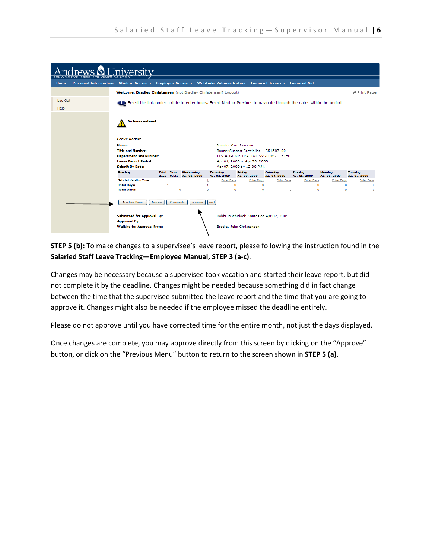

**STEP 5 (b):** To make changes to a supervisee's leave report, please following the instruction found in the Salaried Staff Leave Tracking—Employee Manual, STEP 3 (a-c).

Changes may be necessary because a supervisee took vacation and started their leave report, but did not complete it by the deadline. Changes might be needed because something did in fact change between the time that the supervisee submitted the leave report and the time that you are going to approve it. Changes might also be needed if the employee missed the deadline entirely.

Please do not approve until you have corrected time for the entire month, not just the days displayed.

Once changes are complete, you may approve directly from this screen by clicking on the "Approve" button, or click on the "Previous Menu" button to return to the screen shown in STEP 5 (a).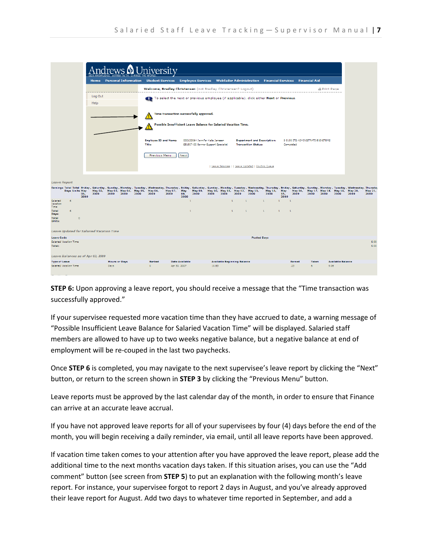

**STEP 6:** Upon approving a leave report, you should receive a message that the "Time transaction was successfully approved."

If your supervisee requested more vacation time than they have accrued to date, a warning message of "Possible Insufficient Leave Balance for Salaried Vacation Time" will be displayed. Salaried staff members are allowed to have up to two weeks negative balance, but a negative balance at end of employment will be re-couped in the last two paychecks.

Once STEP 6 is completed, you may navigate to the next supervisee's leave report by clicking the "Next" button, or return to the screen shown in STEP 3 by clicking the "Previous Menu" button.

Leave reports must be approved by the last calendar day of the month, in order to ensure that Finance can arrive at an accurate leave accrual.

If you have not approved leave reports for all of your supervisees by four (4) days before the end of the month, you will begin receiving a daily reminder, via email, until all leave reports have been approved.

If vacation time taken comes to your attention after you have approved the leave report, please add the additional time to the next months vacation days taken. If this situation arises, you can use the "Add comment" button (see screen from STEP 5) to put an explanation with the following month's leave report. For instance, your supervisee forgot to report 2 days in August, and you've already approved their leave report for August. Add two days to whatever time reported in September, and add a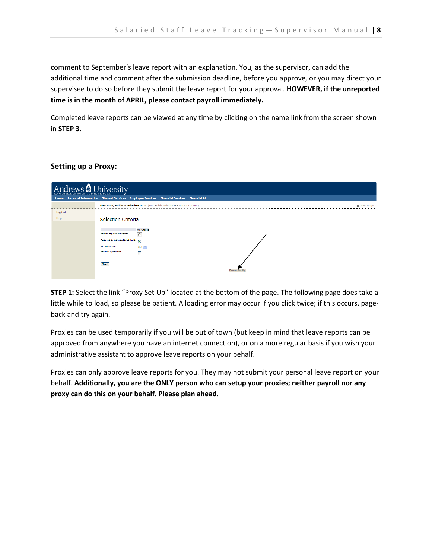comment to September's leave report with an explanation. You, as the supervisor, can add the additional time and comment after the submission deadline, before you approve, or you may direct your supervisee to do so before they submit the leave report for your approval. HOWEVER, if the unreported time is in the month of APRIL, please contact payroll immediately.

Completed leave reports can be viewed at any time by clicking on the name link from the screen shown in STEP 3.

## Setting up a Proxy:

| Iniversity<br>d MOTTZO |                                                                                               |              |  |  |  |  |  |  |  |  |
|------------------------|-----------------------------------------------------------------------------------------------|--------------|--|--|--|--|--|--|--|--|
|                        | Home Personal Information Student Services Employee Services Financial Services Financial Aid |              |  |  |  |  |  |  |  |  |
|                        | Welcome, Bobbi Whitlock-Santos (not Bobbi Whitlock-Santos? Logout)                            | A Print Pane |  |  |  |  |  |  |  |  |
| Log Out                |                                                                                               |              |  |  |  |  |  |  |  |  |
| Help                   | <b>Selection Criteria</b>                                                                     |              |  |  |  |  |  |  |  |  |
|                        |                                                                                               |              |  |  |  |  |  |  |  |  |
|                        | <b>My Choice</b>                                                                              |              |  |  |  |  |  |  |  |  |
|                        | Access my Leave Report:<br>lC.                                                                |              |  |  |  |  |  |  |  |  |
|                        | Approve or Acknowledge Time:<br>⋒                                                             |              |  |  |  |  |  |  |  |  |
|                        | Act as Proxy:<br>Self V                                                                       |              |  |  |  |  |  |  |  |  |
|                        | Act as Superuser:<br>П                                                                        |              |  |  |  |  |  |  |  |  |
|                        |                                                                                               |              |  |  |  |  |  |  |  |  |
|                        | Select                                                                                        |              |  |  |  |  |  |  |  |  |
|                        | Proxy                                                                                         |              |  |  |  |  |  |  |  |  |
|                        |                                                                                               |              |  |  |  |  |  |  |  |  |

**STEP 1:** Select the link "Proxy Set Up" located at the bottom of the page. The following page does take a little while to load, so please be patient. A loading error may occur if you click twice; if this occurs, pageback and try again.

Proxies can be used temporarily if you will be out of town (but keep in mind that leave reports can be approved from anywhere you have an internet connection), or on a more regular basis if you wish your administrative assistant to approve leave reports on your behalf.

Proxies can only approve leave reports for you. They may not submit your personal leave report on your behalf. Additionally, you are the ONLY person who can setup your proxies; neither payroll nor any proxy can do this on your behalf. Please plan ahead.